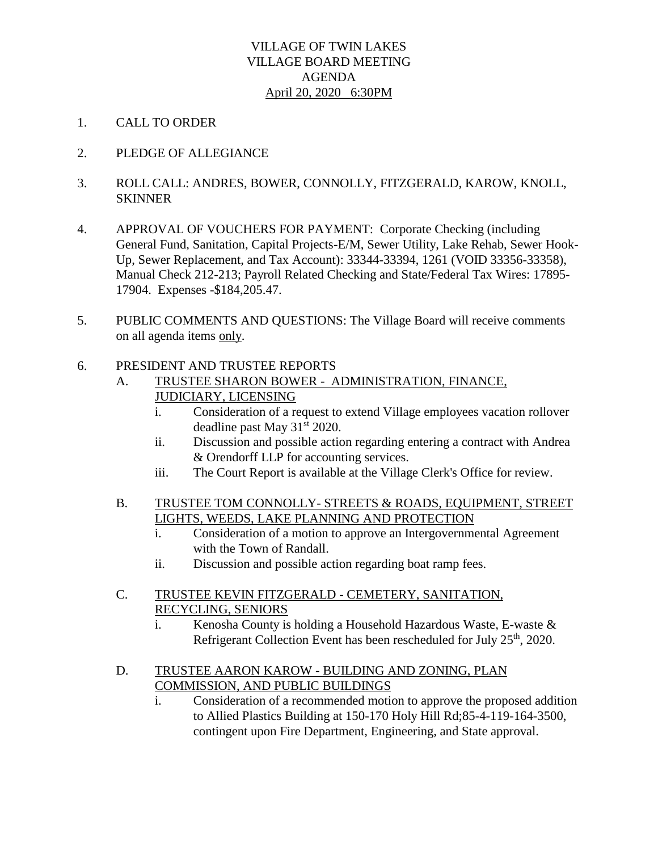#### VILLAGE OF TWIN LAKES VILLAGE BOARD MEETING AGENDA April 20, 2020 6:30PM

- 1. CALL TO ORDER
- 2. PLEDGE OF ALLEGIANCE
- 3. ROLL CALL: ANDRES, BOWER, CONNOLLY, FITZGERALD, KAROW, KNOLL, **SKINNER**
- 4. APPROVAL OF VOUCHERS FOR PAYMENT: Corporate Checking (including General Fund, Sanitation, Capital Projects-E/M, Sewer Utility, Lake Rehab, Sewer Hook-Up, Sewer Replacement, and Tax Account): 33344-33394, 1261 (VOID 33356-33358), Manual Check 212-213; Payroll Related Checking and State/Federal Tax Wires: 17895- 17904. Expenses -\$184,205.47.
- 5. PUBLIC COMMENTS AND QUESTIONS: The Village Board will receive comments on all agenda items only.
- 6. PRESIDENT AND TRUSTEE REPORTS
	- A. TRUSTEE SHARON BOWER ADMINISTRATION, FINANCE, JUDICIARY, LICENSING
		- i. Consideration of a request to extend Village employees vacation rollover deadline past May 31<sup>st</sup> 2020.
		- ii. Discussion and possible action regarding entering a contract with Andrea & Orendorff LLP for accounting services.
		- iii. The Court Report is available at the Village Clerk's Office for review.
	- B. TRUSTEE TOM CONNOLLY-STREETS & ROADS, EQUIPMENT, STREET LIGHTS, WEEDS, LAKE PLANNING AND PROTECTION
		- i. Consideration of a motion to approve an Intergovernmental Agreement with the Town of Randall.
		- ii. Discussion and possible action regarding boat ramp fees.
	- C. TRUSTEE KEVIN FITZGERALD CEMETERY, SANITATION, RECYCLING, SENIORS
		- i. Kenosha County is holding a Household Hazardous Waste, E-waste & Refrigerant Collection Event has been rescheduled for July 25<sup>th</sup>, 2020.
	- D. TRUSTEE AARON KAROW BUILDING AND ZONING, PLAN COMMISSION, AND PUBLIC BUILDINGS
		- i. Consideration of a recommended motion to approve the proposed addition to Allied Plastics Building at 150-170 Holy Hill Rd;85-4-119-164-3500, contingent upon Fire Department, Engineering, and State approval.